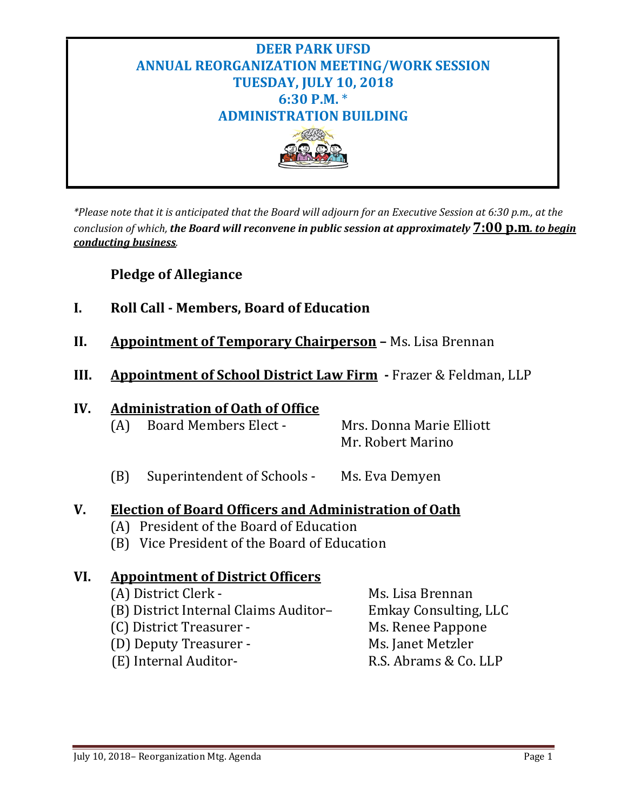

*\*Please note that it is anticipated that the Board will adjourn for an Executive Session at 6:30 p.m., at the conclusion of which, the Board will reconvene in public session at approximately* **7:00 p.m***. to begin conducting business.*

## **Pledge of Allegiance**

- **I. Roll Call - Members, Board of Education**
- **II. Appointment of Temporary Chairperson –** Ms. Lisa Brennan
- **III. Appointment of School District Law Firm -** Frazer & Feldman, LLP

## **IV. Administration of Oath of Office**

| (A) | <b>Board Members Elect -</b> | Mrs. Donna Marie Elliott |
|-----|------------------------------|--------------------------|
|     |                              | Mr. Robert Marino        |

(B) Superintendent of Schools - Ms. Eva Demyen

### **V. Election of Board Officers and Administration of Oath**

- (A) President of the Board of Education
- (B) Vice President of the Board of Education

### **VI. Appointment of District Officers**

| (A) District Clerk -                  | Ms. Lisa Brennan      |
|---------------------------------------|-----------------------|
| (B) District Internal Claims Auditor- | Emkay Consulting, LLC |
| (C) District Treasurer -              | Ms. Renee Pappone     |
| (D) Deputy Treasurer -                | Ms. Janet Metzler     |
| (E) Internal Auditor-                 | R.S. Abrams & Co. LLP |
|                                       |                       |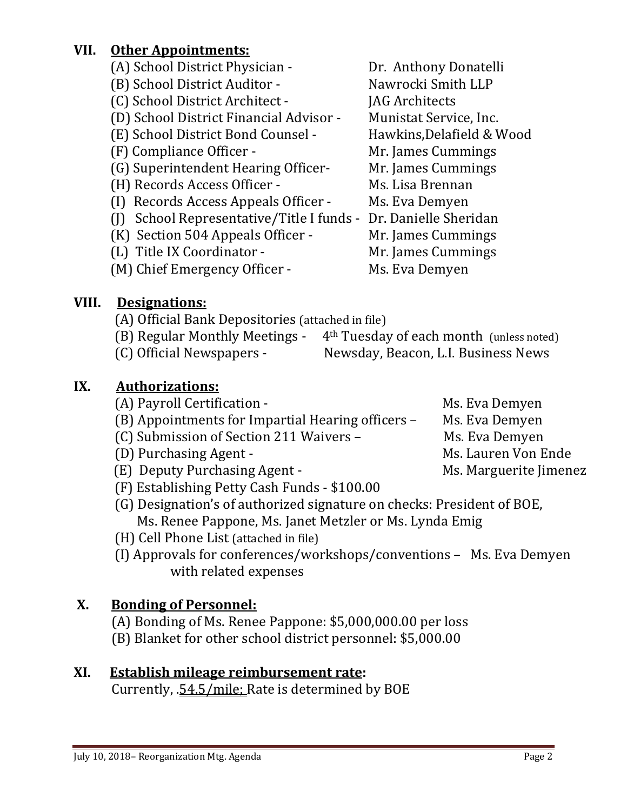## **VII. Other Appointments:**

(A) School District Physician - The Dr. Anthony Donatelli<br>
(B) School District Auditor - Nawrocki Smith LLP (B) School District Auditor - Nawrocki Smith LLP (C) School District Architect - JAG Architects<br>(D) School District Financial Advisor - Munistat Service, Inc. (D) School District Financial Advisor - Munistat Service, Inc.<br>(E) School District Bond Counsel - Hawkins, Delafield & Wood (E) School District Bond Counsel - Hawkins, Delafield & V<br>(F) Compliance Officer - Mr. James Cummings (F) Compliance Officer - Mr. James Cummings<br>
(G) Superintendent Hearing Officer- Mr. James Cummings (G) Superintendent Hearing Officer- Mr. James Cummi<br>(H) Records Access Officer - Ms. Lisa Brennan (H) Records Access Officer - Ms. Lisa Brennan<br>(I) Records Access Appeals Officer - Ms. Eva Demyen  $(I)$  Records Access Appeals Officer -(J) School Representative/Title I funds - Dr. Danielle Sheridan (K) Section 504 Appeals Officer - Mr. James Cummings (K) Section 504 Appeals Officer - Mr. James Cummings<br>(L) Title IX Coordinator - Mr. James Cummings (L) Title IX Coordinator - Mr. James Cumm<br>(M) Chief Emergency Officer - Ms. Eva Demyen  $(M)$  Chief Emergency Officer -

# **VIII. Designations:**

- (A) Official Bank Depositories (attached in file)<br>(B) Regular Monthly Meetings  $4<sup>th</sup>$  Tuesday
- (B) Regular Monthly Meetings 4<sup>th</sup> Tuesday of each month (unless noted) (C) Official Newspapers Newsday, Beacon, L.I. Business News Newsday, Beacon, L.I. Business News

# **IX. Authorizations:**

- (A) Payroll Certification -<br>(B) Appointments for Impartial Hearing officers Ms. Eva Demyen (B) Appointments for Impartial Hearing officers – Ms. Eva Demyen<br>(C) Submission of Section 211 Waivers – Ms. Eva Demyen (C) Submission of Section 211 Waivers – Ms. Eva Demyen<br>(D) Purchasing Agent - Ms. Lauren Von Ende (D) Purchasing Agent - Ms. Lauren Von Ende<br>(E) Deputy Purchasing Agent - Ms. Marguerite Jimenez (E) Deputy Purchasing Agent -
- (F) Establishing Petty Cash Funds \$100.00
- (G) Designation's of authorized signature on checks: President of BOE, Ms. Renee Pappone, Ms. Janet Metzler or Ms. Lynda Emig
- (H) Cell Phone List (attached in file)
- (I) Approvals for conferences/workshops/conventions Ms. Eva Demyen with related expenses

# **X. Bonding of Personnel:**

- (A) Bonding of Ms. Renee Pappone: \$5,000,000.00 per loss
- (B) Blanket for other school district personnel: \$5,000.00

# **XI. Establish mileage reimbursement rate:**

Currently, .54.5/mile; Rate is determined by BOE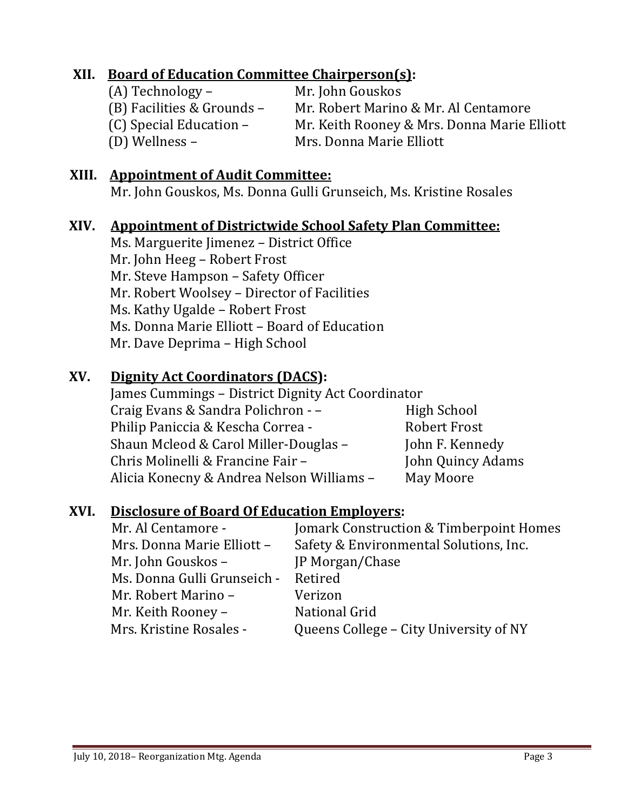## **XII. Board of Education Committee Chairperson(s):**

(A) Technology – Mr. John Gouskos<br>(B) Facilities & Grounds – Mr. Robert Marino

(B) Facilities & Grounds – Mr. Robert Marino & Mr. Al Centamore<br>(C) Special Education – Mr. Keith Rooney & Mrs. Donna Marie I (C) Special Education – Mr. Keith Rooney & Mrs. Donna Marie Elliott<br>(D) Wellness – Mrs. Donna Marie Elliott Mrs. Donna Marie Elliott

## **XIII. Appointment of Audit Committee:**

Mr. John Gouskos, Ms. Donna Gulli Grunseich, Ms. Kristine Rosales

## **XIV. Appointment of Districtwide School Safety Plan Committee:**

Ms. Marguerite Jimenez – District Office Mr. John Heeg – Robert Frost Mr. Steve Hampson – Safety Officer Mr. Robert Woolsey – Director of Facilities Ms. Kathy Ugalde – Robert Frost Ms. Donna Marie Elliott – Board of Education Mr. Dave Deprima – High School

## **XV. Dignity Act Coordinators (DACS):**

James Cummings – District Dignity Act Coordinator Craig Evans & Sandra Polichron - – Figh School<br>Philip Paniccia & Kescha Correa - Fight Robert Frost Philip Paniccia & Kescha Correa - Robert Frost<br>Shaun Mcleod & Carol Miller-Douglas - Tohn F. Kennedy Shaun Mcleod & Carol Miller-Douglas – John F. Kennedy<br>Chris Molinelli & Francine Fair – John Quincy Adams Chris Molinelli & Francine Fair – John Quincy<br>Alicia Konecny & Andrea Nelson Williams – May Moore Alicia Konecny & Andrea Nelson Williams -

## **XVI. Disclosure of Board Of Education Employers:**

| Mr. Al Centamore -          | Jomark Construction & Timberpoint Homes |
|-----------------------------|-----------------------------------------|
| Mrs. Donna Marie Elliott -  | Safety & Environmental Solutions, Inc.  |
| Mr. John Gouskos -          | JP Morgan/Chase                         |
| Ms. Donna Gulli Grunseich - | Retired                                 |
| Mr. Robert Marino -         | Verizon                                 |
| Mr. Keith Rooney -          | National Grid                           |
| Mrs. Kristine Rosales -     | Queens College – City University of NY  |
|                             |                                         |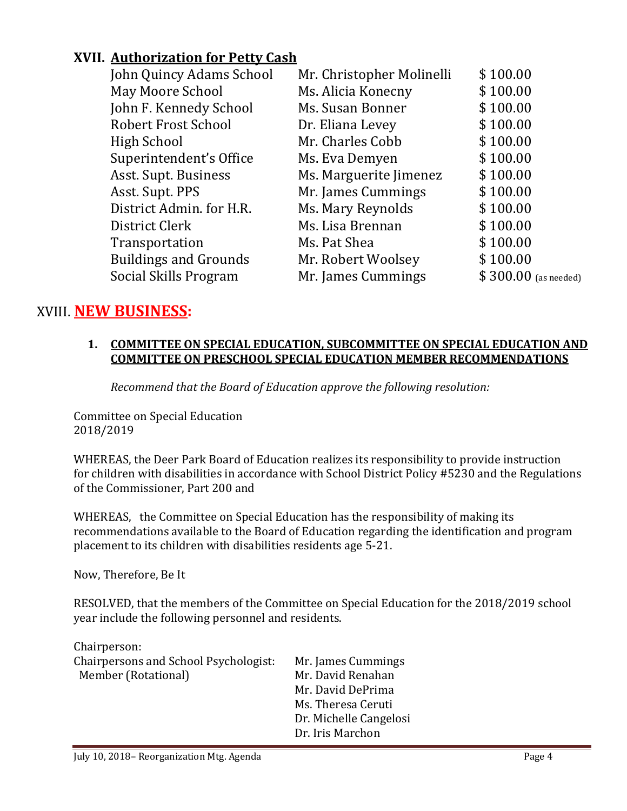# **XVII. Authorization for Petty Cash**

| John Quincy Adams School     | Mr. Christopher Molinelli | \$100.00              |
|------------------------------|---------------------------|-----------------------|
| May Moore School             | Ms. Alicia Konecny        | \$100.00              |
| John F. Kennedy School       | Ms. Susan Bonner          | \$100.00              |
| <b>Robert Frost School</b>   | Dr. Eliana Levey          | \$100.00              |
| <b>High School</b>           | Mr. Charles Cobb          | \$100.00              |
| Superintendent's Office      | Ms. Eva Demyen            | \$100.00              |
| Asst. Supt. Business         | Ms. Marguerite Jimenez    | \$100.00              |
| Asst. Supt. PPS              | Mr. James Cummings        | \$100.00              |
| District Admin. for H.R.     | Ms. Mary Reynolds         | \$100.00              |
| District Clerk               | Ms. Lisa Brennan          | \$100.00              |
| Transportation               | Ms. Pat Shea              | \$100.00              |
| <b>Buildings and Grounds</b> | Mr. Robert Woolsey        | \$100.00              |
| Social Skills Program        | Mr. James Cummings        | $$300.00$ (as needed) |
|                              |                           |                       |

# XVIII. **NEW BUSINESS:**

#### **1. COMMITTEE ON SPECIAL EDUCATION, SUBCOMMITTEE ON SPECIAL EDUCATION AND COMMITTEE ON PRESCHOOL SPECIAL EDUCATION MEMBER RECOMMENDATIONS**

*Recommend that the Board of Education approve the following resolution:*

Committee on Special Education 2018/2019

WHEREAS, the Deer Park Board of Education realizes its responsibility to provide instruction for children with disabilities in accordance with School District Policy #5230 and the Regulations of the Commissioner, Part 200 and

WHEREAS, the Committee on Special Education has the responsibility of making its recommendations available to the Board of Education regarding the identification and program placement to its children with disabilities residents age 5-21.

Now, Therefore, Be It

 $\sim$   $\sim$ 

RESOLVED, that the members of the Committee on Special Education for the 2018/2019 school year include the following personnel and residents.

| Chairperson:                          |                        |
|---------------------------------------|------------------------|
| Chairpersons and School Psychologist: | Mr. James Cummings     |
| Member (Rotational)                   | Mr. David Renahan      |
|                                       | Mr. David DePrima      |
|                                       | Ms. Theresa Ceruti     |
|                                       | Dr. Michelle Cangelosi |
|                                       | Dr. Iris Marchon       |
|                                       |                        |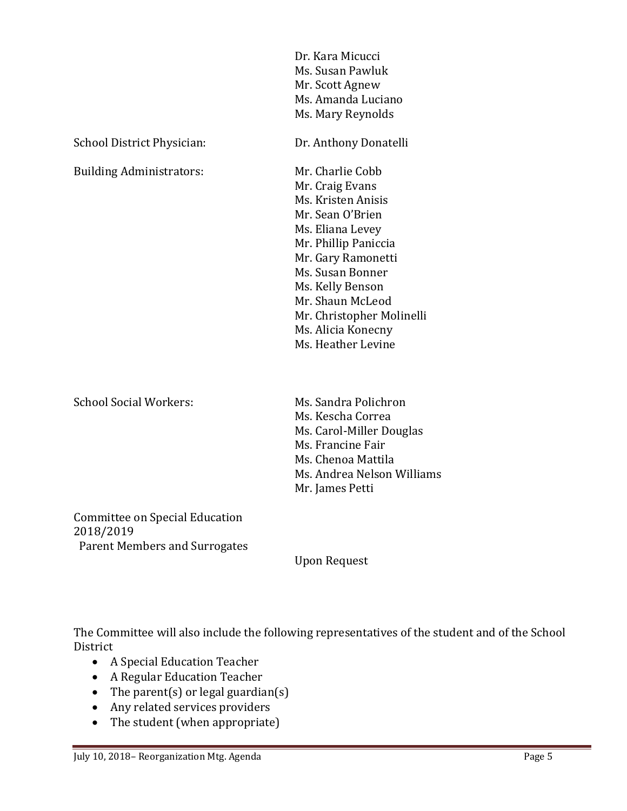|                                 | Dr. Kara Micucci<br>Ms. Susan Pawluk<br>Mr. Scott Agnew<br>Ms. Amanda Luciano<br>Ms. Mary Reynolds                                                                                                                                                                                   |
|---------------------------------|--------------------------------------------------------------------------------------------------------------------------------------------------------------------------------------------------------------------------------------------------------------------------------------|
| School District Physician:      | Dr. Anthony Donatelli                                                                                                                                                                                                                                                                |
| <b>Building Administrators:</b> | Mr. Charlie Cobb<br>Mr. Craig Evans<br>Ms. Kristen Anisis<br>Mr. Sean O'Brien<br>Ms. Eliana Levey<br>Mr. Phillip Paniccia<br>Mr. Gary Ramonetti<br>Ms. Susan Bonner<br>Ms. Kelly Benson<br>Mr. Shaun McLeod<br>Mr. Christopher Molinelli<br>Ms. Alicia Konecny<br>Ms. Heather Levine |
| <b>School Social Workers:</b>   | Ms. Sandra Polichron<br>Ms. Kescha Correa<br>Ms. Carol-Miller Douglas<br>Ms. Francine Fair<br>Ms. Chenoa Mattila<br>Ms. Andrea Nelson Williams<br>Mr. James Petti                                                                                                                    |
| Committee on Special Education  |                                                                                                                                                                                                                                                                                      |

2018/2019 Parent Members and Surrogates

Upon Request

The Committee will also include the following representatives of the student and of the School District

- A Special Education Teacher
- A Regular Education Teacher
- The parent(s) or legal guardian(s)
- Any related services providers
- The student (when appropriate)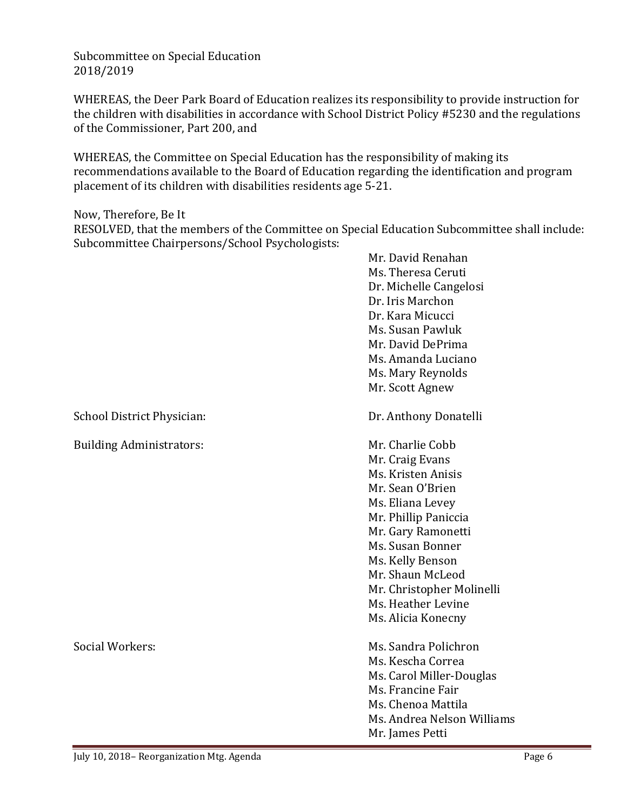Subcommittee on Special Education 2018/2019

WHEREAS, the Deer Park Board of Education realizes its responsibility to provide instruction for the children with disabilities in accordance with School District Policy #5230 and the regulations of the Commissioner, Part 200, and

WHEREAS, the Committee on Special Education has the responsibility of making its recommendations available to the Board of Education regarding the identification and program placement of its children with disabilities residents age 5-21.

Now, Therefore, Be It

RESOLVED, that the members of the Committee on Special Education Subcommittee shall include: Subcommittee Chairpersons/School Psychologists:

|                                 | Mr. David Renahan<br>Ms. Theresa Ceruti<br>Dr. Michelle Cangelosi<br>Dr. Iris Marchon<br>Dr. Kara Micucci<br>Ms. Susan Pawluk<br>Mr. David DePrima<br>Ms. Amanda Luciano<br>Ms. Mary Reynolds<br>Mr. Scott Agnew                                                                     |
|---------------------------------|--------------------------------------------------------------------------------------------------------------------------------------------------------------------------------------------------------------------------------------------------------------------------------------|
| School District Physician:      | Dr. Anthony Donatelli                                                                                                                                                                                                                                                                |
| <b>Building Administrators:</b> | Mr. Charlie Cobb<br>Mr. Craig Evans<br>Ms. Kristen Anisis<br>Mr. Sean O'Brien<br>Ms. Eliana Levey<br>Mr. Phillip Paniccia<br>Mr. Gary Ramonetti<br>Ms. Susan Bonner<br>Ms. Kelly Benson<br>Mr. Shaun McLeod<br>Mr. Christopher Molinelli<br>Ms. Heather Levine<br>Ms. Alicia Konecny |
| Social Workers:                 | Ms. Sandra Polichron<br>Ms. Kescha Correa<br>Ms. Carol Miller-Douglas<br>Ms. Francine Fair<br>Ms. Chenoa Mattila<br>Ms. Andrea Nelson Williams<br>Mr. James Petti                                                                                                                    |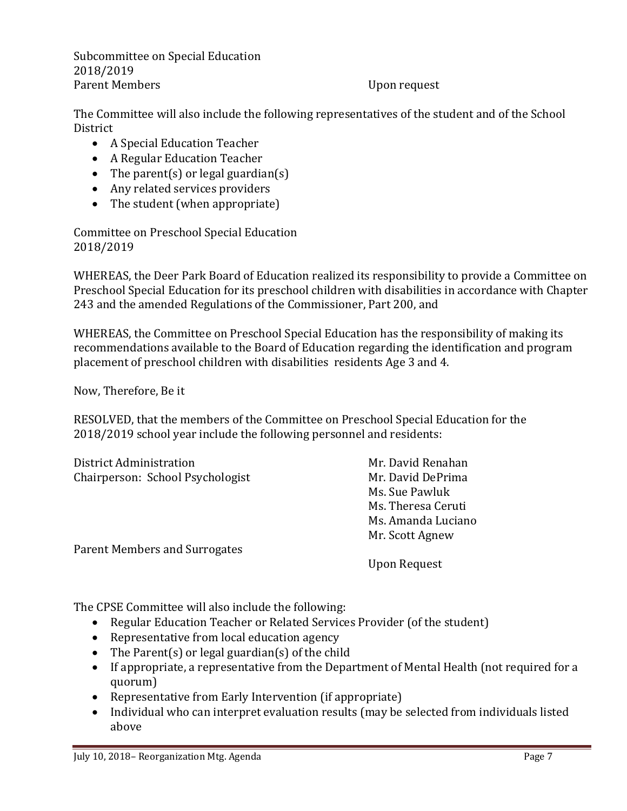Subcommittee on Special Education 2018/2019 Parent Members Upon request

The Committee will also include the following representatives of the student and of the School **District** 

- A Special Education Teacher
- A Regular Education Teacher
- The parent(s) or legal guardian(s)
- Any related services providers
- The student (when appropriate)

Committee on Preschool Special Education 2018/2019

WHEREAS, the Deer Park Board of Education realized its responsibility to provide a Committee on Preschool Special Education for its preschool children with disabilities in accordance with Chapter 243 and the amended Regulations of the Commissioner, Part 200, and

WHEREAS, the Committee on Preschool Special Education has the responsibility of making its recommendations available to the Board of Education regarding the identification and program placement of preschool children with disabilities residents Age 3 and 4.

Now, Therefore, Be it

RESOLVED, that the members of the Committee on Preschool Special Education for the 2018/2019 school year include the following personnel and residents:

| District Administration          | Mr. David Renahan  |
|----------------------------------|--------------------|
| Chairperson: School Psychologist | Mr. David DePrima  |
|                                  | Ms. Sue Pawluk     |
|                                  | Ms. Theresa Ceruti |
|                                  | Ms. Amanda Luciano |
|                                  | Mr. Scott Agnew    |
| Parent Members and Surrogates    |                    |
|                                  | Upon Request       |

The CPSE Committee will also include the following:

- Regular Education Teacher or Related Services Provider (of the student)
- Representative from local education agency
- The Parent(s) or legal guardian(s) of the child
- If appropriate, a representative from the Department of Mental Health (not required for a quorum)
- Representative from Early Intervention (if appropriate)
- Individual who can interpret evaluation results (may be selected from individuals listed above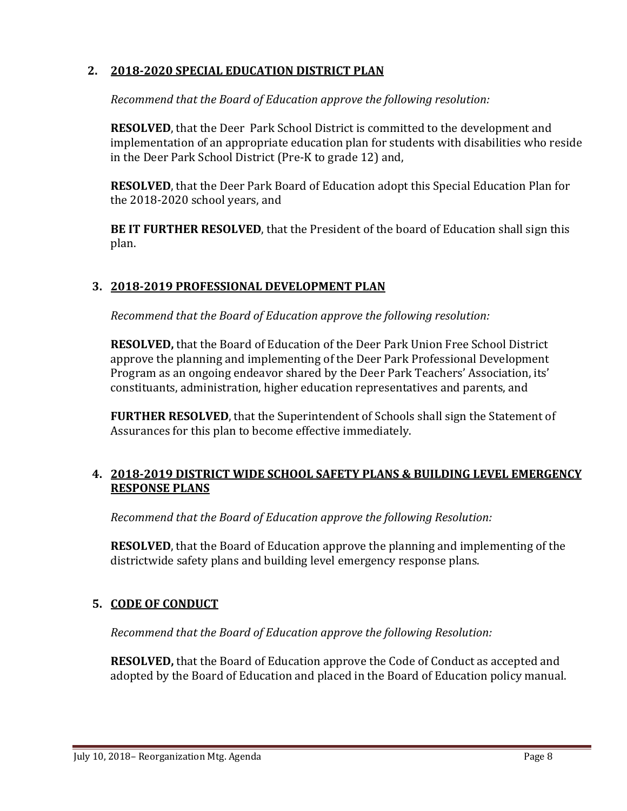### **2. 2018-2020 SPECIAL EDUCATION DISTRICT PLAN**

*Recommend that the Board of Education approve the following resolution:*

**RESOLVED**, that the Deer Park School District is committed to the development and implementation of an appropriate education plan for students with disabilities who reside in the Deer Park School District (Pre-K to grade 12) and,

**RESOLVED**, that the Deer Park Board of Education adopt this Special Education Plan for the 2018-2020 school years, and

**BE IT FURTHER RESOLVED**, that the President of the board of Education shall sign this plan.

### **3. 2018-2019 PROFESSIONAL DEVELOPMENT PLAN**

*Recommend that the Board of Education approve the following resolution:*

**RESOLVED,** that the Board of Education of the Deer Park Union Free School District approve the planning and implementing of the Deer Park Professional Development Program as an ongoing endeavor shared by the Deer Park Teachers' Association, its' constituants, administration, higher education representatives and parents, and

**FURTHER RESOLVED**, that the Superintendent of Schools shall sign the Statement of Assurances for this plan to become effective immediately.

### **4. 2018-2019 DISTRICT WIDE SCHOOL SAFETY PLANS & BUILDING LEVEL EMERGENCY RESPONSE PLANS**

*Recommend that the Board of Education approve the following Resolution:*

**RESOLVED**, that the Board of Education approve the planning and implementing of the districtwide safety plans and building level emergency response plans.

### **5. CODE OF CONDUCT**

*Recommend that the Board of Education approve the following Resolution:*

**RESOLVED,** that the Board of Education approve the Code of Conduct as accepted and adopted by the Board of Education and placed in the Board of Education policy manual.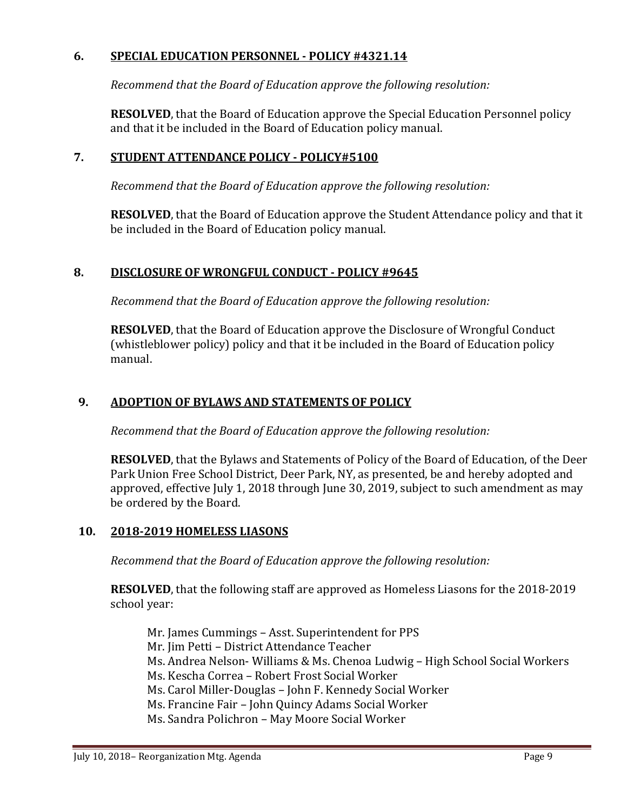### **6. SPECIAL EDUCATION PERSONNEL - POLICY #4321.14**

*Recommend that the Board of Education approve the following resolution:*

**RESOLVED**, that the Board of Education approve the Special Education Personnel policy and that it be included in the Board of Education policy manual.

### **7. STUDENT ATTENDANCE POLICY - POLICY#5100**

*Recommend that the Board of Education approve the following resolution:*

**RESOLVED**, that the Board of Education approve the Student Attendance policy and that it be included in the Board of Education policy manual.

### **8. DISCLOSURE OF WRONGFUL CONDUCT - POLICY #9645**

*Recommend that the Board of Education approve the following resolution:*

**RESOLVED**, that the Board of Education approve the Disclosure of Wrongful Conduct (whistleblower policy) policy and that it be included in the Board of Education policy manual.

### **9. ADOPTION OF BYLAWS AND STATEMENTS OF POLICY**

*Recommend that the Board of Education approve the following resolution:*

**RESOLVED**, that the Bylaws and Statements of Policy of the Board of Education, of the Deer Park Union Free School District, Deer Park, NY, as presented, be and hereby adopted and approved, effective July 1, 2018 through June 30, 2019, subject to such amendment as may be ordered by the Board.

#### **10. 2018-2019 HOMELESS LIASONS**

*Recommend that the Board of Education approve the following resolution:*

**RESOLVED**, that the following staff are approved as Homeless Liasons for the 2018-2019 school year:

Mr. James Cummings – Asst. Superintendent for PPS Mr. Jim Petti – District Attendance Teacher Ms. Andrea Nelson- Williams & Ms. Chenoa Ludwig – High School Social Workers Ms. Kescha Correa – Robert Frost Social Worker Ms. Carol Miller-Douglas – John F. Kennedy Social Worker Ms. Francine Fair – John Quincy Adams Social Worker Ms. Sandra Polichron – May Moore Social Worker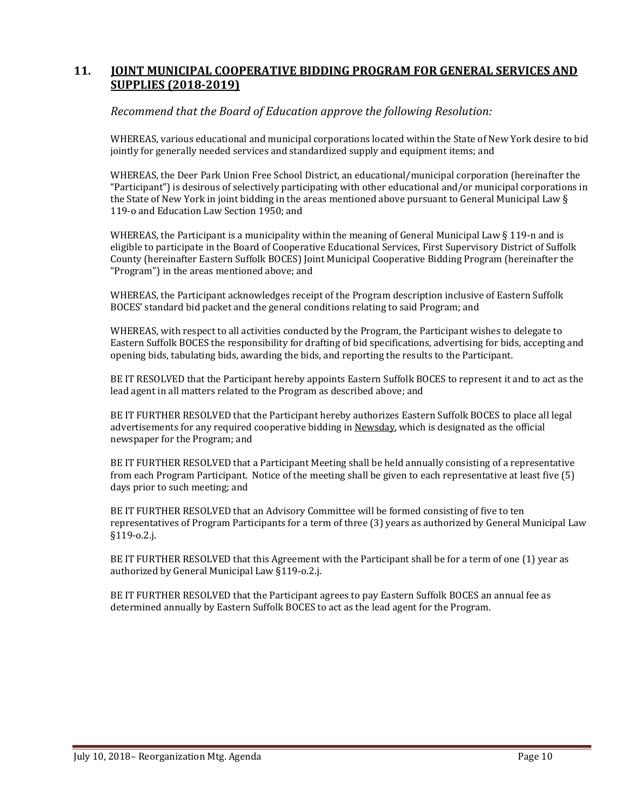#### **11. JOINT MUNICIPAL COOPERATIVE BIDDING PROGRAM FOR GENERAL SERVICES AND SUPPLIES (2018-2019)**

#### *Recommend that the Board of Education approve the following Resolution:*

WHEREAS, various educational and municipal corporations located within the State of New York desire to bid jointly for generally needed services and standardized supply and equipment items; and

WHEREAS, the Deer Park Union Free School District, an educational/municipal corporation (hereinafter the "Participant") is desirous of selectively participating with other educational and/or municipal corporations in the State of New York in joint bidding in the areas mentioned above pursuant to General Municipal Law § 119-o and Education Law Section 1950; and

WHEREAS, the Participant is a municipality within the meaning of General Municipal Law § 119-n and is eligible to participate in the Board of Cooperative Educational Services, First Supervisory District of Suffolk County (hereinafter Eastern Suffolk BOCES) Joint Municipal Cooperative Bidding Program (hereinafter the "Program") in the areas mentioned above; and

WHEREAS, the Participant acknowledges receipt of the Program description inclusive of Eastern Suffolk BOCES' standard bid packet and the general conditions relating to said Program; and

WHEREAS, with respect to all activities conducted by the Program, the Participant wishes to delegate to Eastern Suffolk BOCES the responsibility for drafting of bid specifications, advertising for bids, accepting and opening bids, tabulating bids, awarding the bids, and reporting the results to the Participant.

BE IT RESOLVED that the Participant hereby appoints Eastern Suffolk BOCES to represent it and to act as the lead agent in all matters related to the Program as described above; and

BE IT FURTHER RESOLVED that the Participant hereby authorizes Eastern Suffolk BOCES to place all legal advertisements for any required cooperative bidding in Newsday, which is designated as the official newspaper for the Program; and

BE IT FURTHER RESOLVED that a Participant Meeting shall be held annually consisting of a representative from each Program Participant. Notice of the meeting shall be given to each representative at least five (5) days prior to such meeting; and

BE IT FURTHER RESOLVED that an Advisory Committee will be formed consisting of five to ten representatives of Program Participants for a term of three (3) years as authorized by General Municipal Law §119-o.2.j.

BE IT FURTHER RESOLVED that this Agreement with the Participant shall be for a term of one (1) year as authorized by General Municipal Law §119-o.2.j.

BE IT FURTHER RESOLVED that the Participant agrees to pay Eastern Suffolk BOCES an annual fee as determined annually by Eastern Suffolk BOCES to act as the lead agent for the Program.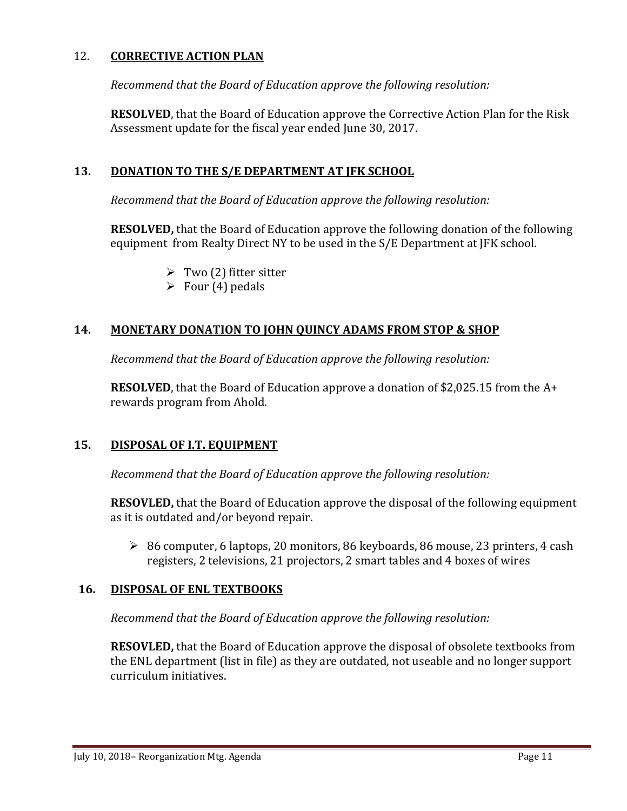#### 12. **CORRECTIVE ACTION PLAN**

*Recommend that the Board of Education approve the following resolution:*

**RESOLVED**, that the Board of Education approve the Corrective Action Plan for the Risk Assessment update for the fiscal year ended June 30, 2017.

### **13. DONATION TO THE S/E DEPARTMENT AT JFK SCHOOL**

*Recommend that the Board of Education approve the following resolution:*

**RESOLVED,** that the Board of Education approve the following donation of the following equipment from Realty Direct NY to be used in the S/E Department at JFK school.

- $\triangleright$  Two (2) fitter sitter
- $\triangleright$  Four (4) pedals

### **14. MONETARY DONATION TO JOHN QUINCY ADAMS FROM STOP & SHOP**

*Recommend that the Board of Education approve the following resolution:*

**RESOLVED**, that the Board of Education approve a donation of \$2,025.15 from the A+ rewards program from Ahold.

#### **15. DISPOSAL OF I.T. EQUIPMENT**

*Recommend that the Board of Education approve the following resolution:*

**RESOVLED,** that the Board of Education approve the disposal of the following equipment as it is outdated and/or beyond repair.

 86 computer, 6 laptops, 20 monitors, 86 keyboards, 86 mouse, 23 printers, 4 cash registers, 2 televisions, 21 projectors, 2 smart tables and 4 boxes of wires

#### **16. DISPOSAL OF ENL TEXTBOOKS**

*Recommend that the Board of Education approve the following resolution:*

**RESOVLED,** that the Board of Education approve the disposal of obsolete textbooks from the ENL department (list in file) as they are outdated, not useable and no longer support curriculum initiatives.